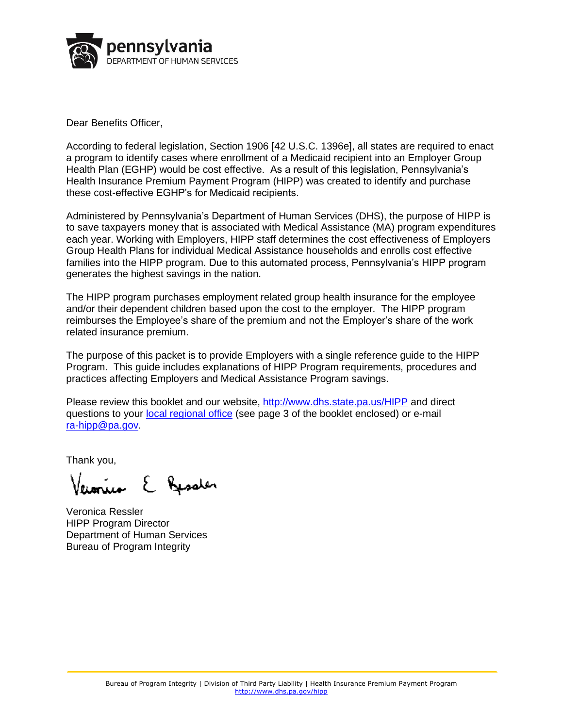

Dear Benefits Officer,

According to federal legislation, Section 1906 [42 U.S.C. 1396e], all states are required to enact a program to identify cases where enrollment of a Medicaid recipient into an Employer Group Health Plan (EGHP) would be cost effective. As a result of this legislation, Pennsylvania's Health Insurance Premium Payment Program (HIPP) was created to identify and purchase these cost-effective EGHP's for Medicaid recipients.

Administered by Pennsylvania's Department of Human Services (DHS), the purpose of HIPP is to save taxpayers money that is associated with Medical Assistance (MA) program expenditures each year. Working with Employers, HIPP staff determines the cost effectiveness of Employers Group Health Plans for individual Medical Assistance households and enrolls cost effective families into the HIPP program. Due to this automated process, Pennsylvania's HIPP program generates the highest savings in the nation.

The HIPP program purchases employment related group health insurance for the employee and/or their dependent children based upon the cost to the employer. The HIPP program reimburses the Employee's share of the premium and not the Employer's share of the work related insurance premium.

The purpose of this packet is to provide Employers with a single reference guide to the HIPP Program. This guide includes explanations of HIPP Program requirements, procedures and practices affecting Employers and Medical Assistance Program savings.

Please review this booklet and our website, <http://www.dhs.state.pa.us/HIPP> and direct questions to your [local regional office](#page-3-0) (see page 3 of the booklet enclosed) or e-mail [ra-hipp@pa.gov.](mailto:ra-hipp@pa.gov)

Thank you,

ún E Jasoler

Veronica Ressler HIPP Program Director Department of Human Services Bureau of Program Integrity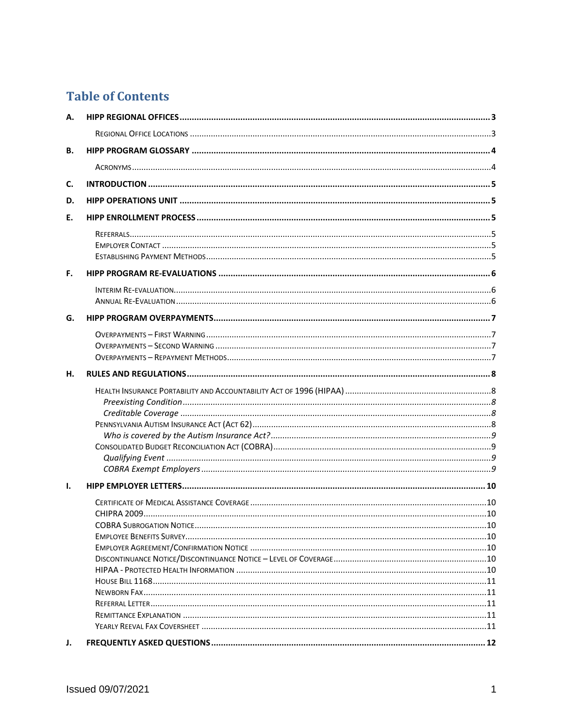# **Table of Contents**

| А.                     |  |
|------------------------|--|
|                        |  |
| В.                     |  |
|                        |  |
| C.                     |  |
| D.                     |  |
| Е.                     |  |
|                        |  |
|                        |  |
|                        |  |
| F.                     |  |
|                        |  |
|                        |  |
| G.                     |  |
|                        |  |
|                        |  |
|                        |  |
|                        |  |
| н.                     |  |
|                        |  |
|                        |  |
|                        |  |
|                        |  |
|                        |  |
|                        |  |
|                        |  |
|                        |  |
| Ι.                     |  |
|                        |  |
|                        |  |
|                        |  |
|                        |  |
|                        |  |
|                        |  |
|                        |  |
|                        |  |
|                        |  |
|                        |  |
|                        |  |
| $\mathbf{J}_{\bullet}$ |  |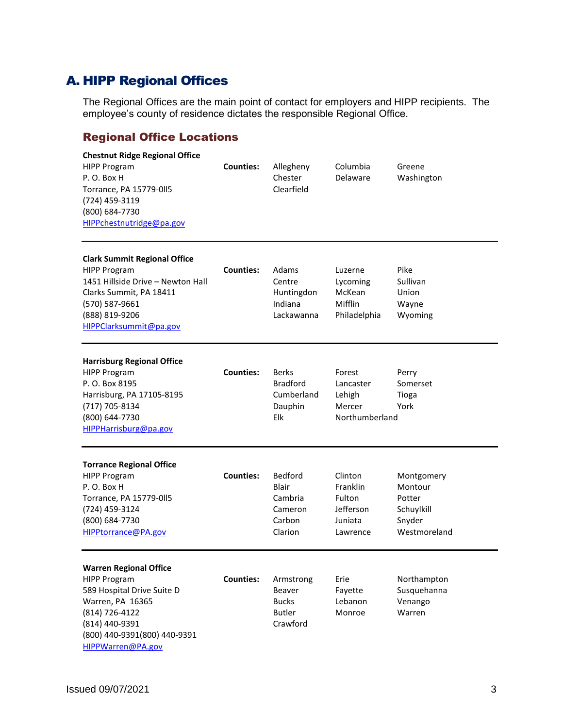# <span id="page-3-1"></span>A. HIPP Regional Offices

The Regional Offices are the main point of contact for employers and HIPP recipients. The employee's county of residence dictates the responsible Regional Office.

# <span id="page-3-0"></span>Regional Office Locations

| <b>Chestnut Ridge Regional Office</b><br><b>HIPP Program</b><br>P.O. Box H<br>Torrance, PA 15779-0115<br>(724) 459-3119<br>(800) 684-7730<br>HIPPchestnutridge@pa.gov                           | <b>Counties:</b> | Allegheny<br>Chester<br>Clearfield                                 | Columbia<br>Delaware                                              | Greene<br>Washington                                                    |
|-------------------------------------------------------------------------------------------------------------------------------------------------------------------------------------------------|------------------|--------------------------------------------------------------------|-------------------------------------------------------------------|-------------------------------------------------------------------------|
| <b>Clark Summit Regional Office</b><br><b>HIPP Program</b><br>1451 Hillside Drive - Newton Hall<br>Clarks Summit, PA 18411<br>(570) 587-9661<br>(888) 819-9206<br>HIPPClarksummit@pa.gov        | <b>Counties:</b> | Adams<br>Centre<br>Huntingdon<br>Indiana<br>Lackawanna             | Luzerne<br>Lycoming<br>McKean<br>Mifflin<br>Philadelphia          | Pike<br>Sullivan<br>Union<br>Wayne<br>Wyoming                           |
| <b>Harrisburg Regional Office</b><br><b>HIPP Program</b><br>P. O. Box 8195<br>Harrisburg, PA 17105-8195<br>(717) 705-8134<br>(800) 644-7730<br>HIPPHarrisburg@pa.gov                            | <b>Counties:</b> | Berks<br><b>Bradford</b><br>Cumberland<br>Dauphin<br>Elk           | Forest<br>Lancaster<br>Lehigh<br>Mercer<br>Northumberland         | Perry<br>Somerset<br>Tioga<br>York                                      |
| <b>Torrance Regional Office</b><br><b>HIPP Program</b><br>P.O. Box H<br>Torrance, PA 15779-015<br>(724) 459-3124<br>(800) 684-7730<br>HIPPtorrance@PA.gov                                       | <b>Counties:</b> | Bedford<br><b>Blair</b><br>Cambria<br>Cameron<br>Carbon<br>Clarion | Clinton<br>Franklin<br>Fulton<br>Jefferson<br>Juniata<br>Lawrence | Montgomery<br>Montour<br>Potter<br>Schuylkill<br>Snyder<br>Westmoreland |
| <b>Warren Regional Office</b><br><b>HIPP Program</b><br>589 Hospital Drive Suite D<br>Warren, PA 16365<br>(814) 726-4122<br>(814) 440-9391<br>(800) 440-9391(800) 440-9391<br>HIPPWarren@PA.gov | <b>Counties:</b> | Armstrong<br>Beaver<br><b>Bucks</b><br><b>Butler</b><br>Crawford   | Erie<br>Fayette<br>Lebanon<br>Monroe                              | Northampton<br>Susquehanna<br>Venango<br>Warren                         |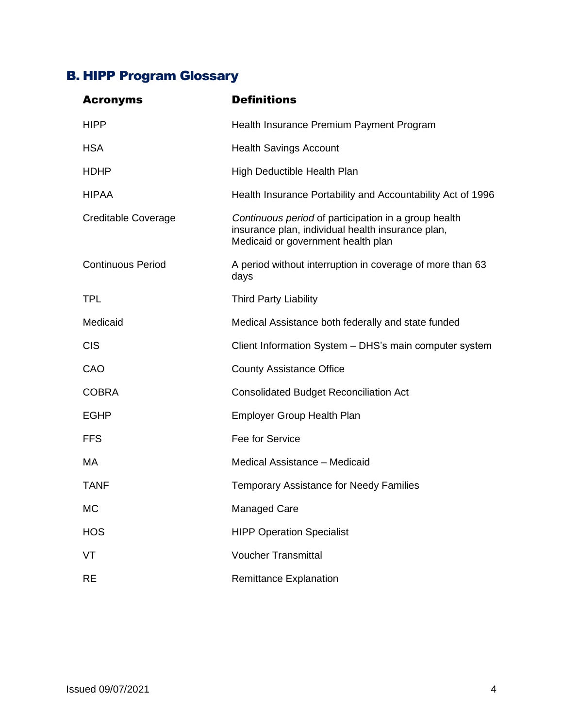# <span id="page-4-0"></span>B. HIPP Program Glossary

<span id="page-4-1"></span>

| <b>Acronyms</b>          | <b>Definitions</b>                                                                                                                              |
|--------------------------|-------------------------------------------------------------------------------------------------------------------------------------------------|
| <b>HIPP</b>              | Health Insurance Premium Payment Program                                                                                                        |
| <b>HSA</b>               | <b>Health Savings Account</b>                                                                                                                   |
| <b>HDHP</b>              | High Deductible Health Plan                                                                                                                     |
| <b>HIPAA</b>             | Health Insurance Portability and Accountability Act of 1996                                                                                     |
| Creditable Coverage      | Continuous period of participation in a group health<br>insurance plan, individual health insurance plan,<br>Medicaid or government health plan |
| <b>Continuous Period</b> | A period without interruption in coverage of more than 63<br>days                                                                               |
| <b>TPL</b>               | <b>Third Party Liability</b>                                                                                                                    |
| Medicaid                 | Medical Assistance both federally and state funded                                                                                              |
| <b>CIS</b>               | Client Information System - DHS's main computer system                                                                                          |
| CAO                      | <b>County Assistance Office</b>                                                                                                                 |
| <b>COBRA</b>             | <b>Consolidated Budget Reconciliation Act</b>                                                                                                   |
| <b>EGHP</b>              | <b>Employer Group Health Plan</b>                                                                                                               |
| <b>FFS</b>               | Fee for Service                                                                                                                                 |
| МA                       | Medical Assistance - Medicaid                                                                                                                   |
| <b>TANF</b>              | <b>Temporary Assistance for Needy Families</b>                                                                                                  |
| МC                       | Managed Care                                                                                                                                    |
| <b>HOS</b>               | <b>HIPP Operation Specialist</b>                                                                                                                |
| VT                       | <b>Voucher Transmittal</b>                                                                                                                      |
| <b>RE</b>                | <b>Remittance Explanation</b>                                                                                                                   |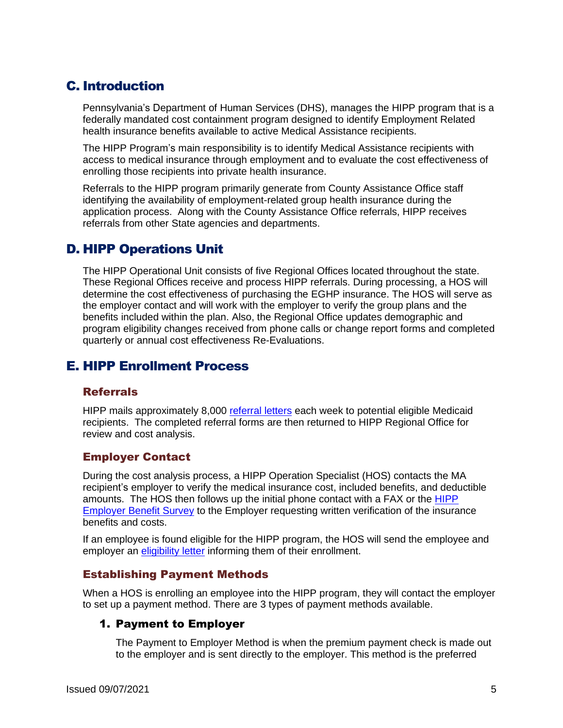# <span id="page-5-0"></span>C. Introduction

Pennsylvania's Department of Human Services (DHS), manages the HIPP program that is a federally mandated cost containment program designed to identify Employment Related health insurance benefits available to active Medical Assistance recipients.

The HIPP Program's main responsibility is to identify Medical Assistance recipients with access to medical insurance through employment and to evaluate the cost effectiveness of enrolling those recipients into private health insurance.

Referrals to the HIPP program primarily generate from County Assistance Office staff identifying the availability of employment-related group health insurance during the application process. Along with the County Assistance Office referrals, HIPP receives referrals from other State agencies and departments.

# <span id="page-5-1"></span>D. HIPP Operations Unit

The HIPP Operational Unit consists of five Regional Offices located throughout the state. These Regional Offices receive and process HIPP referrals. During processing, a HOS will determine the cost effectiveness of purchasing the EGHP insurance. The HOS will serve as the employer contact and will work with the employer to verify the group plans and the benefits included within the plan. Also, the Regional Office updates demographic and program eligibility changes received from phone calls or change report forms and completed quarterly or annual cost effectiveness Re-Evaluations.

# <span id="page-5-2"></span>E. HIPP Enrollment Process

## <span id="page-5-3"></span>Referrals

HIPP mails approximately 8,000 [referral letters](#page-29-1) each week to potential eligible Medicaid recipients. The completed referral forms are then returned to HIPP Regional Office for review and cost analysis.

## <span id="page-5-4"></span>Employer Contact

During the cost analysis process, a HIPP Operation Specialist (HOS) contacts the MA recipient's employer to verify the medical insurance cost, included benefits, and deductible amounts. The HOS then follows up the initial phone contact with a FAX or the [HIPP](#page-22-1)  [Employer Benefit Survey](#page-22-1) to the Employer requesting written verification of the insurance benefits and costs.

If an employee is found eligible for the HIPP program, the HOS will send the employee and employer an [eligibility](#page-24-0) letter informing them of their enrollment.

#### <span id="page-5-5"></span>Establishing Payment Methods

When a HOS is enrolling an employee into the HIPP program, they will contact the employer to set up a payment method. There are 3 types of payment methods available.

## 1. Payment to Employer

The Payment to Employer Method is when the premium payment check is made out to the employer and is sent directly to the employer. This method is the preferred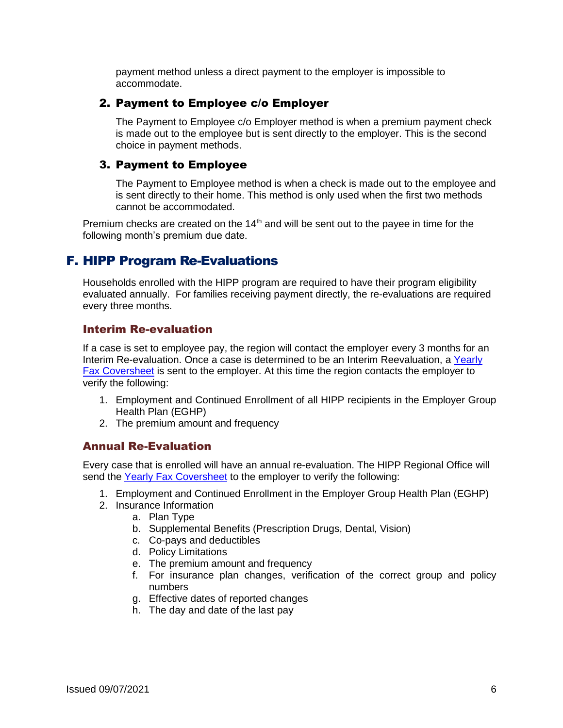payment method unless a direct payment to the employer is impossible to accommodate.

#### 2. Payment to Employee c/o Employer

The Payment to Employee c/o Employer method is when a premium payment check is made out to the employee but is sent directly to the employer. This is the second choice in payment methods.

#### 3. Payment to Employee

The Payment to Employee method is when a check is made out to the employee and is sent directly to their home. This method is only used when the first two methods cannot be accommodated.

Premium checks are created on the  $14<sup>th</sup>$  and will be sent out to the payee in time for the following month's premium due date.

# <span id="page-6-0"></span>F. HIPP Program Re-Evaluations

Households enrolled with the HIPP program are required to have their program eligibility evaluated annually. For families receiving payment directly, the re-evaluations are required every three months.

#### <span id="page-6-1"></span>Interim Re-evaluation

If a case is set to employee pay, the region will contact the employer every 3 months for an Interim Re-evaluation. Once a case is determined to be an Interim Reevaluation, a Yearly [Fax Coversheet](#page-33-0) is sent to the employer. At this time the region contacts the employer to verify the following:

- 1. Employment and Continued Enrollment of all HIPP recipients in the Employer Group Health Plan (EGHP)
- 2. The premium amount and frequency

#### <span id="page-6-2"></span>Annual Re-Evaluation

Every case that is enrolled will have an annual re-evaluation. The HIPP Regional Office will send the [Yearly Fax Coversheet](#page-33-0) to the employer to verify the following:

- 1. Employment and Continued Enrollment in the Employer Group Health Plan (EGHP)
- 2. Insurance Information
	- a. Plan Type
	- b. Supplemental Benefits (Prescription Drugs, Dental, Vision)
	- c. Co-pays and deductibles
	- d. Policy Limitations
	- e. The premium amount and frequency
	- f. For insurance plan changes, verification of the correct group and policy numbers
	- g. Effective dates of reported changes
	- h. The day and date of the last pay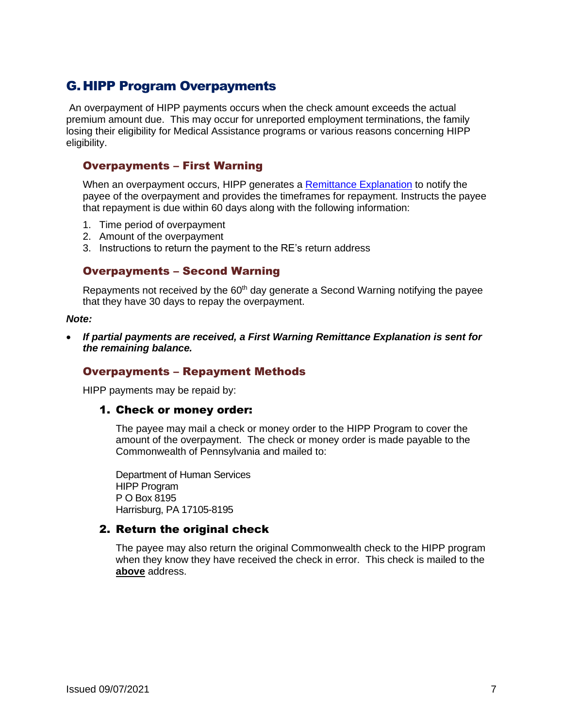# <span id="page-7-0"></span>G. HIPP Program Overpayments

An overpayment of HIPP payments occurs when the check amount exceeds the actual premium amount due. This may occur for unreported employment terminations, the family losing their eligibility for Medical Assistance programs or various reasons concerning HIPP eligibility.

#### <span id="page-7-1"></span>Overpayments – First Warning

When an overpayment occurs, HIPP generates a [Remittance Explanation](#page-32-0) to notify the payee of the overpayment and provides the timeframes for repayment. Instructs the payee that repayment is due within 60 days along with the following information:

- 1. Time period of overpayment
- 2. Amount of the overpayment
- <span id="page-7-2"></span>3. Instructions to return the payment to the RE's return address

#### Overpayments – Second Warning

Repayments not received by the  $60<sup>th</sup>$  day generate a Second Warning notifying the payee that they have 30 days to repay the overpayment.

#### *Note:*

• *If partial payments are received, a First Warning Remittance Explanation is sent for the remaining balance.* 

#### <span id="page-7-3"></span>Overpayments – Repayment Methods

HIPP payments may be repaid by:

#### 1. Check or money order:

The payee may mail a check or money order to the HIPP Program to cover the amount of the overpayment. The check or money order is made payable to the Commonwealth of Pennsylvania and mailed to:

Department of Human Services HIPP Program P O Box 8195 Harrisburg, PA 17105-8195

#### 2. Return the original check

The payee may also return the original Commonwealth check to the HIPP program when they know they have received the check in error. This check is mailed to the **above** address.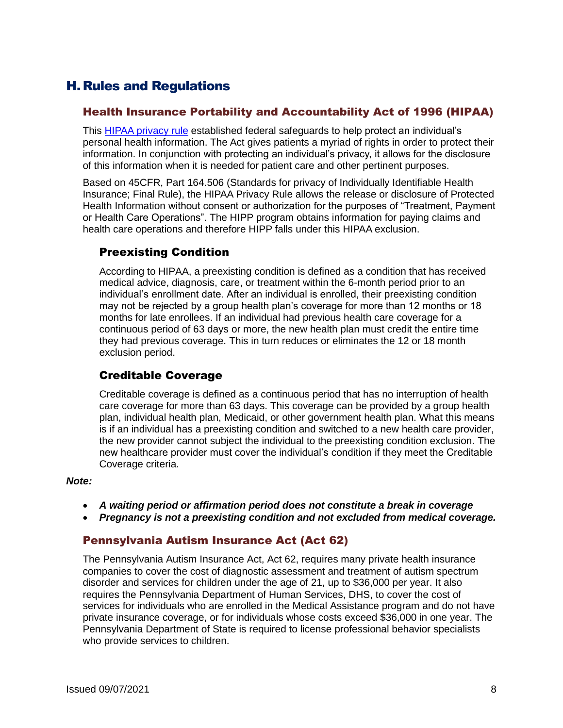# <span id="page-8-0"></span>H.Rules and Regulations

#### <span id="page-8-1"></span>Health Insurance Portability and Accountability Act of 1996 (HIPAA)

This [HIPAA privacy rule](#page-26-0) established federal safeguards to help protect an individual's personal health information. The Act gives patients a myriad of rights in order to protect their information. In conjunction with protecting an individual's privacy, it allows for the disclosure of this information when it is needed for patient care and other pertinent purposes.

Based on 45CFR, Part 164.506 (Standards for privacy of Individually Identifiable Health Insurance; Final Rule), the HIPAA Privacy Rule allows the release or disclosure of Protected Health Information without consent or authorization for the purposes of "Treatment, Payment or Health Care Operations". The HIPP program obtains information for paying claims and health care operations and therefore HIPP falls under this HIPAA exclusion.

#### <span id="page-8-2"></span>Preexisting Condition

According to HIPAA, a preexisting condition is defined as a condition that has received medical advice, diagnosis, care, or treatment within the 6-month period prior to an individual's enrollment date. After an individual is enrolled, their preexisting condition may not be rejected by a group health plan's coverage for more than 12 months or 18 months for late enrollees. If an individual had previous health care coverage for a continuous period of 63 days or more, the new health plan must credit the entire time they had previous coverage. This in turn reduces or eliminates the 12 or 18 month exclusion period.

## <span id="page-8-3"></span>Creditable Coverage

Creditable coverage is defined as a continuous period that has no interruption of health care coverage for more than 63 days. This coverage can be provided by a group health plan, individual health plan, Medicaid, or other government health plan. What this means is if an individual has a preexisting condition and switched to a new health care provider, the new provider cannot subject the individual to the preexisting condition exclusion. The new healthcare provider must cover the individual's condition if they meet the Creditable Coverage criteria.

#### *Note:*

- *A waiting period or affirmation period does not constitute a break in coverage*
- *Pregnancy is not a preexisting condition and not excluded from medical coverage.*

#### <span id="page-8-4"></span>Pennsylvania Autism Insurance Act (Act 62)

The Pennsylvania Autism Insurance Act, Act 62, requires many private health insurance companies to cover the cost of diagnostic assessment and treatment of autism spectrum disorder and services for children under the age of 21, up to \$36,000 per year. It also requires the Pennsylvania Department of Human Services, DHS, to cover the cost of services for individuals who are enrolled in the Medical Assistance program and do not have private insurance coverage, or for individuals whose costs exceed \$36,000 in one year. The Pennsylvania Department of State is required to license professional behavior specialists who provide services to children.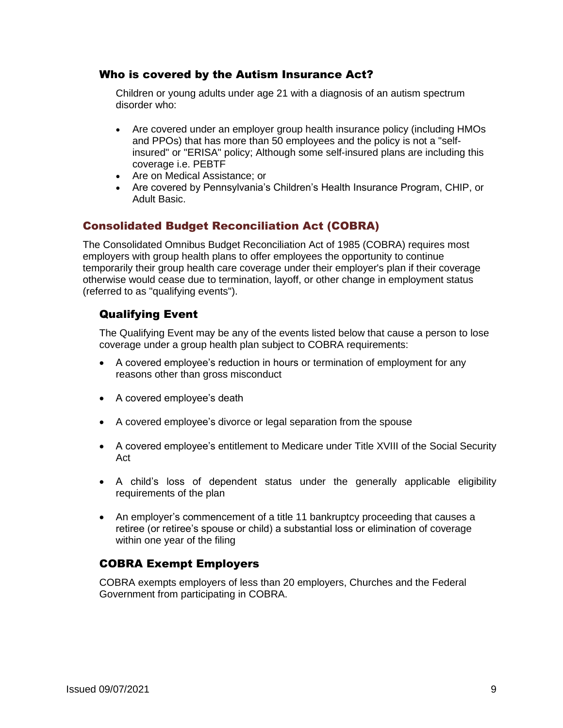#### <span id="page-9-0"></span>Who is covered by the Autism Insurance Act?

Children or young adults under age 21 with a diagnosis of an autism spectrum disorder who:

- Are covered under an employer group health insurance policy (including HMOs and PPOs) that has more than 50 employees and the policy is not a "selfinsured" or "ERISA" policy; Although some self-insured plans are including this coverage i.e. PEBTF
- Are on Medical Assistance; or
- Are covered by Pennsylvania's Children's Health Insurance Program, CHIP, or Adult Basic.

## <span id="page-9-1"></span>Consolidated Budget Reconciliation Act (COBRA)

The Consolidated Omnibus Budget Reconciliation Act of 1985 (COBRA) requires most employers with group health plans to offer employees the opportunity to continue temporarily their group health care coverage under their employer's plan if their coverage otherwise would cease due to termination, layoff, or other change in employment status (referred to as "qualifying events").

## <span id="page-9-2"></span>Qualifying Event

The Qualifying Event may be any of the events listed below that cause a person to lose coverage under a group health plan subject to COBRA requirements:

- A covered employee's reduction in hours or termination of employment for any reasons other than gross misconduct
- A covered employee's death
- A covered employee's divorce or legal separation from the spouse
- A covered employee's entitlement to Medicare under Title XVIII of the Social Security Act
- A child's loss of dependent status under the generally applicable eligibility requirements of the plan
- An employer's commencement of a title 11 bankruptcy proceeding that causes a retiree (or retiree's spouse or child) a substantial loss or elimination of coverage within one year of the filing

## <span id="page-9-3"></span>COBRA Exempt Employers

COBRA exempts employers of less than 20 employers, Churches and the Federal Government from participating in COBRA.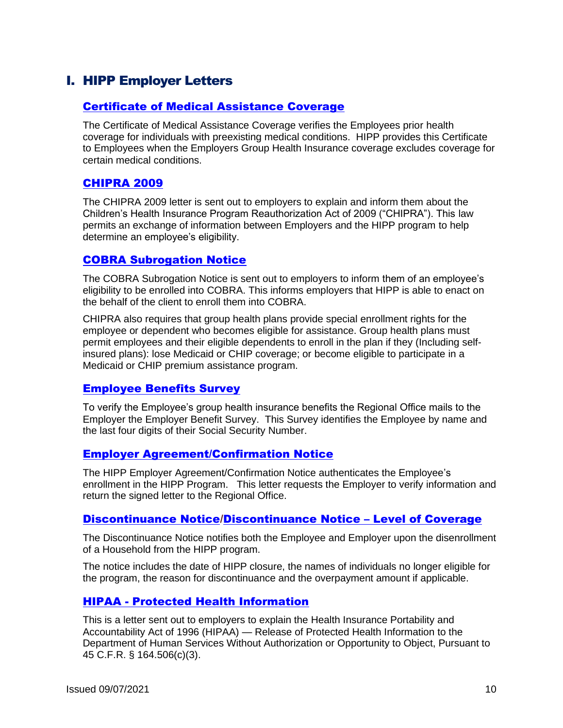# <span id="page-10-0"></span>I. HIPP Employer Letters

#### <span id="page-10-1"></span>[Certificate of Medical Assistance Coverage](#page-17-0)

The Certificate of Medical Assistance Coverage verifies the Employees prior health coverage for individuals with preexisting medical conditions. HIPP provides this Certificate to Employees when the Employers Group Health Insurance coverage excludes coverage for certain medical conditions.

#### <span id="page-10-2"></span>[CHIPRA 2009](#page-18-0)

The CHIPRA 2009 letter is sent out to employers to explain and inform them about the Children's Health Insurance Program Reauthorization Act of 2009 ("CHIPRA"). This law permits an exchange of information between Employers and the HIPP program to help determine an employee's eligibility.

#### <span id="page-10-3"></span>[COBRA Subrogation Notice](#page-19-1)

The COBRA Subrogation Notice is sent out to employers to inform them of an employee's eligibility to be enrolled into COBRA. This informs employers that HIPP is able to enact on the behalf of the client to enroll them into COBRA.

CHIPRA also requires that group health plans provide special enrollment rights for the employee or dependent who becomes eligible for assistance. Group health plans must permit employees and their eligible dependents to enroll in the plan if they (Including selfinsured plans): lose Medicaid or CHIP coverage; or become eligible to participate in a Medicaid or CHIP premium assistance program.

#### <span id="page-10-4"></span>[Employee Benefits Survey](#page-22-1)

To verify the Employee's group health insurance benefits the Regional Office mails to the Employer the Employer Benefit Survey. This Survey identifies the Employee by name and the last four digits of their Social Security Number.

#### <span id="page-10-5"></span>[Employer Agreement/Confirmation Notice](#page-24-0)

The HIPP Employer Agreement/Confirmation Notice authenticates the Employee's enrollment in the HIPP Program. This letter requests the Employer to verify information and return the signed letter to the Regional Office.

#### <span id="page-10-6"></span>[Discontinuance Notice](#page-20-1)[/Discontinuance Notice](#page-21-1) – Level of Coverage

The Discontinuance Notice notifies both the Employee and Employer upon the disenrollment of a Household from the HIPP program.

The notice includes the date of HIPP closure, the names of individuals no longer eligible for the program, the reason for discontinuance and the overpayment amount if applicable.

## <span id="page-10-7"></span>HIPAA - [Protected Health Information](#page-26-0)

This is a letter sent out to employers to explain the Health Insurance Portability and Accountability Act of 1996 (HIPAA) — Release of Protected Health Information to the Department of Human Services Without Authorization or Opportunity to Object, Pursuant to 45 C.F.R. § 164.506(c)(3).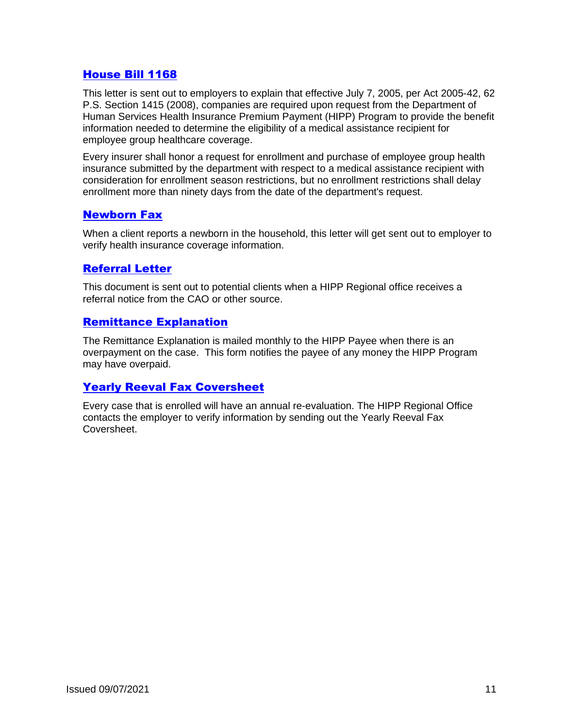#### <span id="page-11-0"></span>[House Bill 1168](#page-28-0)

This letter is sent out to employers to explain that effective July 7, 2005, per Act 2005-42, 62 P.S. Section 1415 (2008), companies are required upon request from the Department of Human Services Health Insurance Premium Payment (HIPP) Program to provide the benefit information needed to determine the eligibility of a medical assistance recipient for employee group healthcare coverage.

Every insurer shall honor a request for enrollment and purchase of employee group health insurance submitted by the department with respect to a medical assistance recipient with consideration for enrollment season restrictions, but no enrollment restrictions shall delay enrollment more than ninety days from the date of the department's request.

#### <span id="page-11-1"></span>[Newborn Fax](#page-28-1)

When a client reports a newborn in the household, this letter will get sent out to employer to verify health insurance coverage information.

#### <span id="page-11-2"></span>[Referral Letter](#page-29-1)

This document is sent out to potential clients when a HIPP Regional office receives a referral notice from the CAO or other source.

#### <span id="page-11-3"></span>[Remittance Explanation](#page-32-0)

The Remittance Explanation is mailed monthly to the HIPP Payee when there is an overpayment on the case. This form notifies the payee of any money the HIPP Program may have overpaid.

## <span id="page-11-4"></span>[Yearly Reeval Fax Coversheet](#page-33-0)

Every case that is enrolled will have an annual re-evaluation. The HIPP Regional Office contacts the employer to verify information by sending out the Yearly Reeval Fax Coversheet.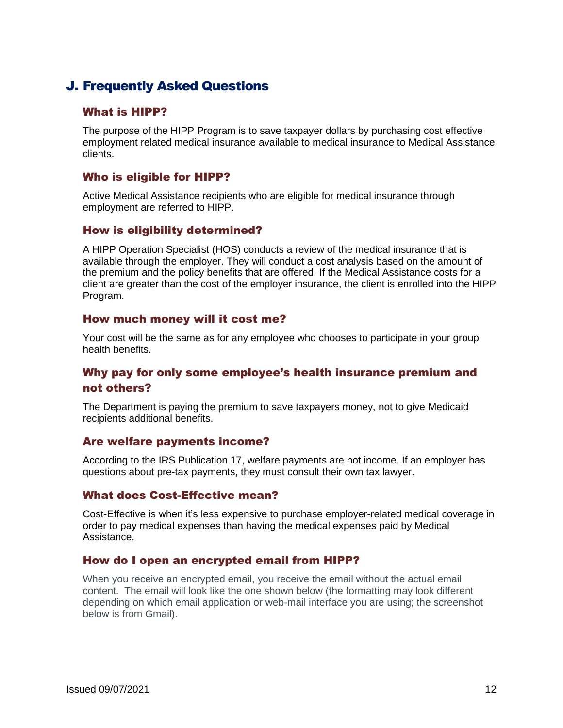# <span id="page-12-0"></span>J. Frequently Asked Questions

#### <span id="page-12-1"></span>What is HIPP?

The purpose of the HIPP Program is to save taxpayer dollars by purchasing cost effective employment related medical insurance available to medical insurance to Medical Assistance clients.

#### <span id="page-12-2"></span>Who is eligible for HIPP?

Active Medical Assistance recipients who are eligible for medical insurance through employment are referred to HIPP.

#### <span id="page-12-3"></span>How is eligibility determined?

A HIPP Operation Specialist (HOS) conducts a review of the medical insurance that is available through the employer. They will conduct a cost analysis based on the amount of the premium and the policy benefits that are offered. If the Medical Assistance costs for a client are greater than the cost of the employer insurance, the client is enrolled into the HIPP Program.

#### <span id="page-12-4"></span>How much money will it cost me?

Your cost will be the same as for any employee who chooses to participate in your group health benefits.

#### <span id="page-12-5"></span>Why pay for only some employee's health insurance premium and not others?

The Department is paying the premium to save taxpayers money, not to give Medicaid recipients additional benefits.

#### <span id="page-12-6"></span>Are welfare payments income?

According to the IRS Publication 17, welfare payments are not income. If an employer has questions about pre-tax payments, they must consult their own tax lawyer.

#### <span id="page-12-7"></span>What does Cost-Effective mean?

Cost-Effective is when it's less expensive to purchase employer-related medical coverage in order to pay medical expenses than having the medical expenses paid by Medical Assistance.

#### <span id="page-12-8"></span>How do I open an encrypted email from HIPP?

When you receive an encrypted email, you receive the email without the actual email content. The email will look like the one shown below (the formatting may look different depending on which email application or web-mail interface you are using; the screenshot below is from Gmail).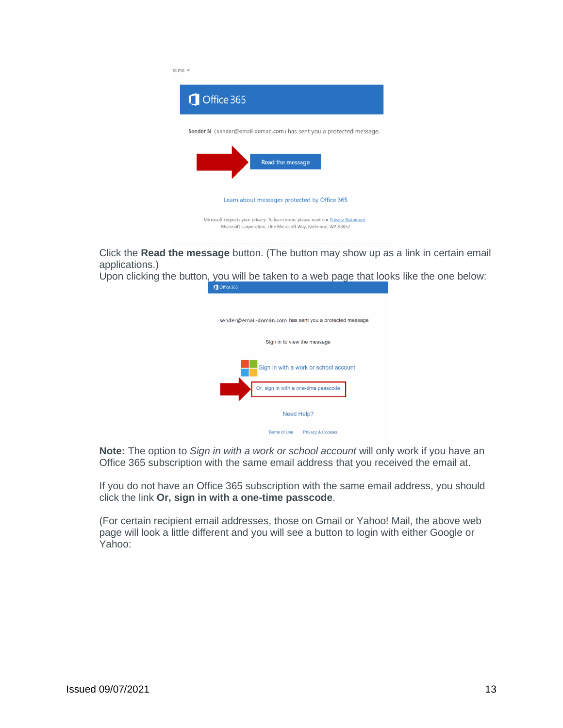

Click the **Read the message** button. (The button may show up as a link in certain email applications.)

Upon clicking the button, you will be taken to a web page that looks like the one below:<br> **O** office 365

| sender@email-doman.com has sent you a protected message |
|---------------------------------------------------------|
| Sign in to view the message                             |
|                                                         |
| Sign in with a work or school account                   |
| Or, sign in with a one-time passcode                    |
| Need Help?                                              |
| <b>Terms of Use</b><br><b>Privacy &amp; Cookies</b>     |

**Note:** The option to *Sign in with a work or school account* will only work if you have an Office 365 subscription with the same email address that you received the email at.

If you do not have an Office 365 subscription with the same email address, you should click the link **Or, sign in with a one-time passcode**.

(For certain recipient email addresses, those on Gmail or Yahoo! Mail, the above web page will look a little different and you will see a button to login with either Google or Yahoo: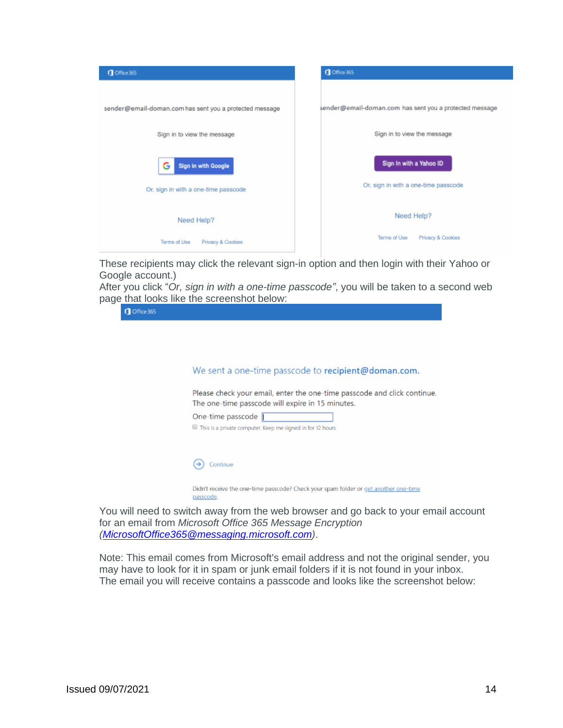

These recipients may click the relevant sign-in option and then login with their Yahoo or Google account.)

After you click "*Or, sign in with a one-time passcode"*, you will be taken to a second web page that looks like the screenshot below:

| Office 365 | <b>JO MIGHT TOORS TING MIGHTS SOLGOI ISHOT DOID W.</b>                                                                       |
|------------|------------------------------------------------------------------------------------------------------------------------------|
|            |                                                                                                                              |
|            | We sent a one-time passcode to recipient@doman.com.                                                                          |
|            | Please check your email, enter the one-time passcode and click continue.<br>The one-time passcode will expire in 15 minutes. |
|            | One-time passcode   <br>This is a private computer. Keep me signed in for 12 hours.                                          |
|            |                                                                                                                              |
|            | Continue                                                                                                                     |
|            | Didn't receive the one-time passcode? Check your spam folder or get another one-time<br><u>passcode</u> .                    |

You will need to switch away from the web browser and go back to your email account for an email from *Microsoft Office 365 Message Encryption [\(MicrosoftOffice365@messaging.microsoft.com\)](mailto:MicrosoftOffice365@messaging.microsoft.com)*.

Note: This email comes from Microsoft's email address and not the original sender, you may have to look for it in spam or junk email folders if it is not found in your inbox. The email you will receive contains a passcode and looks like the screenshot below: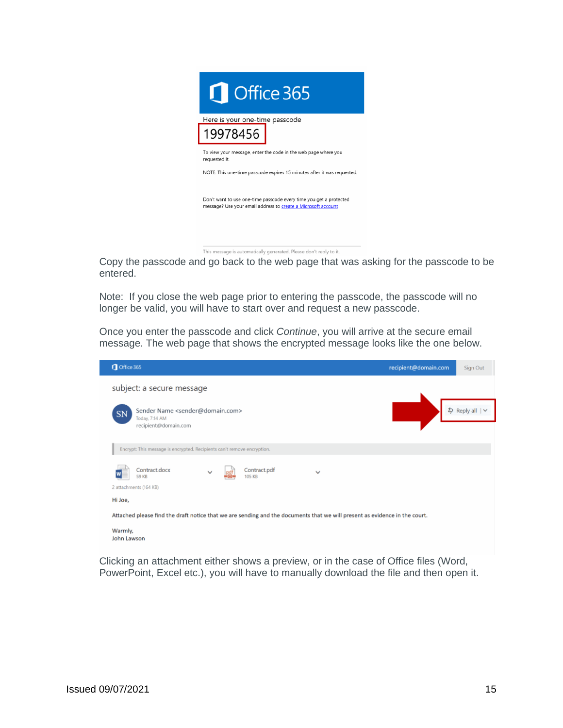

This message is automatically generated. Please don't reply to it.

Copy the passcode and go back to the web page that was asking for the passcode to be entered.

Note: If you close the web page prior to entering the passcode, the passcode will no longer be valid, you will have to start over and request a new passcode.

Once you enter the passcode and click *Continue*, you will arrive at the secure email message. The web page that shows the encrypted message looks like the one below.



Clicking an attachment either shows a preview, or in the case of Office files (Word, PowerPoint, Excel etc.), you will have to manually download the file and then open it.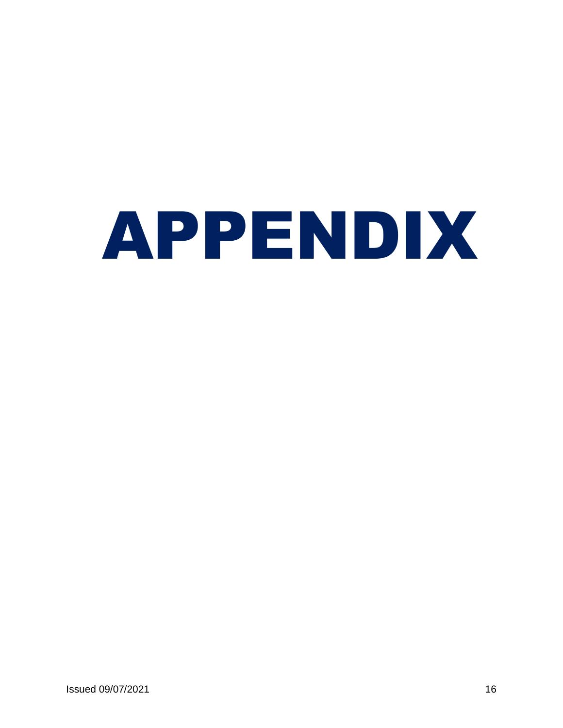# <span id="page-16-0"></span>APPENDIX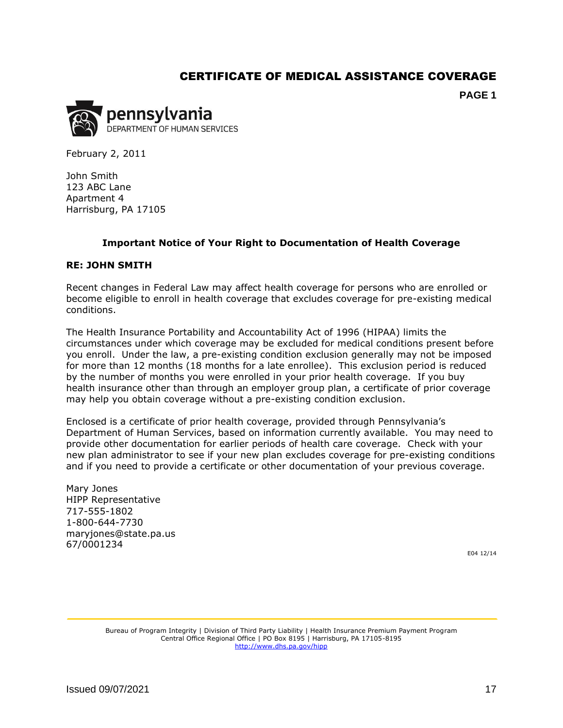#### CERTIFICATE OF MEDICAL ASSISTANCE COVERAGE

**PAGE 1**

<span id="page-17-0"></span>

February 2, 2011

John Smith 123 ABC Lane Apartment 4 Harrisburg, PA 17105

#### **Important Notice of Your Right to Documentation of Health Coverage**

#### **RE: JOHN SMITH**

Recent changes in Federal Law may affect health coverage for persons who are enrolled or become eligible to enroll in health coverage that excludes coverage for pre-existing medical conditions.

The Health Insurance Portability and Accountability Act of 1996 (HIPAA) limits the circumstances under which coverage may be excluded for medical conditions present before you enroll. Under the law, a pre-existing condition exclusion generally may not be imposed for more than 12 months (18 months for a late enrollee). This exclusion period is reduced by the number of months you were enrolled in your prior health coverage. If you buy health insurance other than through an employer group plan, a certificate of prior coverage may help you obtain coverage without a pre-existing condition exclusion.

Enclosed is a certificate of prior health coverage, provided through Pennsylvania's Department of Human Services, based on information currently available. You may need to provide other documentation for earlier periods of health care coverage. Check with your new plan administrator to see if your new plan excludes coverage for pre-existing conditions and if you need to provide a certificate or other documentation of your previous coverage.

Mary Jones HIPP Representative 717-555-1802 1-800-644-7730 maryjones@state.pa.us 67/0001234

E04 12/14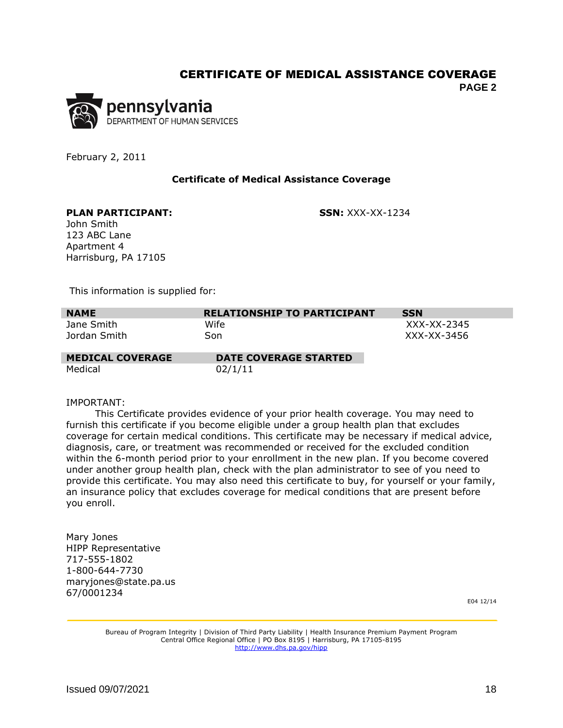#### CERTIFICATE OF MEDICAL ASSISTANCE COVERAGE

**PAGE 2**



February 2, 2011

#### **Certificate of Medical Assistance Coverage**

#### **PLAN PARTICIPANT: SSN:** XXX-XX-1234

John Smith 123 ABC Lane Apartment 4 Harrisburg, PA 17105

This information is supplied for:

| <b>NAME</b>             | <b>RELATIONSHIP TO PARTICIPANT</b> | <b>SSN</b>  |
|-------------------------|------------------------------------|-------------|
| Jane Smith              | Wife                               | XXX-XX-2345 |
| Jordan Smith            | Son                                | XXX-XX-3456 |
| <b>MEDICAL COVERAGE</b> | <b>DATE COVERAGE STARTED</b>       |             |

Medical 02/1/11

#### IMPORTANT:

 This Certificate provides evidence of your prior health coverage. You may need to furnish this certificate if you become eligible under a group health plan that excludes coverage for certain medical conditions. This certificate may be necessary if medical advice, diagnosis, care, or treatment was recommended or received for the excluded condition within the 6-month period prior to your enrollment in the new plan. If you become covered under another group health plan, check with the plan administrator to see of you need to provide this certificate. You may also need this certificate to buy, for yourself or your family, an insurance policy that excludes coverage for medical conditions that are present before you enroll.

<span id="page-18-0"></span>Mary Jones HIPP Representative 717-555-1802 1-800-644-7730 maryjones@state.pa.us 67/0001234

E04 12/14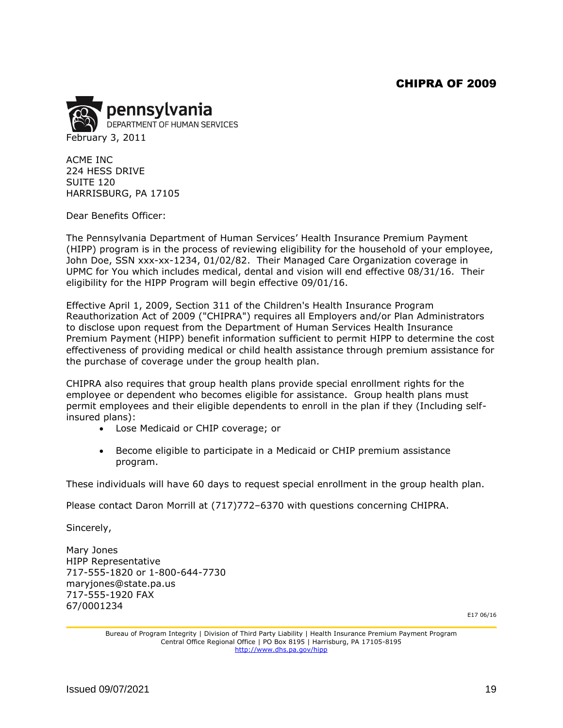#### CHIPRA OF 2009

<span id="page-19-0"></span>

ACME INC 224 HESS DRIVE SUITE 120 HARRISBURG, PA 17105

Dear Benefits Officer:

The Pennsylvania Department of Human Services' Health Insurance Premium Payment (HIPP) program is in the process of reviewing eligibility for the household of your employee, John Doe, SSN xxx-xx-1234, 01/02/82. Their Managed Care Organization coverage in UPMC for You which includes medical, dental and vision will end effective 08/31/16. Their eligibility for the HIPP Program will begin effective 09/01/16.

Effective April 1, 2009, Section 311 of the Children's Health Insurance Program Reauthorization Act of 2009 ("CHIPRA") requires all Employers and/or Plan Administrators to disclose upon request from the Department of Human Services Health Insurance Premium Payment (HIPP) benefit information sufficient to permit HIPP to determine the cost effectiveness of providing medical or child health assistance through premium assistance for the purchase of coverage under the group health plan.

CHIPRA also requires that group health plans provide special enrollment rights for the employee or dependent who becomes eligible for assistance. Group health plans must permit employees and their eligible dependents to enroll in the plan if they (Including selfinsured plans):

- Lose Medicaid or CHIP coverage; or
- Become eligible to participate in a Medicaid or CHIP premium assistance program.

These individuals will have 60 days to request special enrollment in the group health plan.

Please contact Daron Morrill at (717)772–6370 with questions concerning CHIPRA.

Sincerely,

<span id="page-19-1"></span>Mary Jones HIPP Representative 717-555-1820 or 1-800-644-7730 maryjones@state.pa.us 717-555-1920 FAX 67/0001234

E17 06/16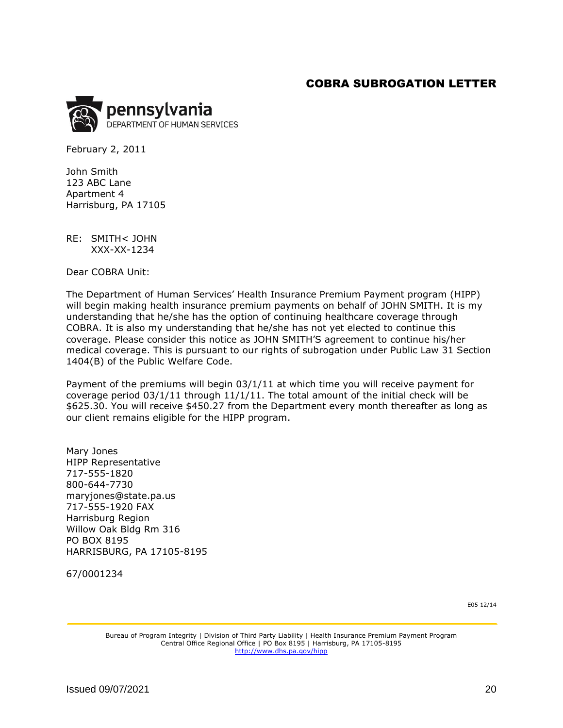#### COBRA SUBROGATION LETTER

<span id="page-20-0"></span>

February 2, 2011

John Smith 123 ABC Lane Apartment 4 Harrisburg, PA 17105

RE: SMITH< JOHN XXX-XX-1234

Dear COBRA Unit:

The Department of Human Services' Health Insurance Premium Payment program (HIPP) will begin making health insurance premium payments on behalf of JOHN SMITH. It is my understanding that he/she has the option of continuing healthcare coverage through COBRA. It is also my understanding that he/she has not yet elected to continue this coverage. Please consider this notice as JOHN SMITH'S agreement to continue his/her medical coverage. This is pursuant to our rights of subrogation under Public Law 31 Section 1404(B) of the Public Welfare Code.

Payment of the premiums will begin 03/1/11 at which time you will receive payment for coverage period  $03/1/11$  through  $11/1/11$ . The total amount of the initial check will be \$625.30. You will receive \$450.27 from the Department every month thereafter as long as our client remains eligible for the HIPP program.

Mary Jones HIPP Representative 717-555-1820 800-644-7730 maryjones@state.pa.us 717-555-1920 FAX Harrisburg Region Willow Oak Bldg Rm 316 PO BOX 8195 HARRISBURG, PA 17105-8195

<span id="page-20-1"></span>67/0001234

E05 12/14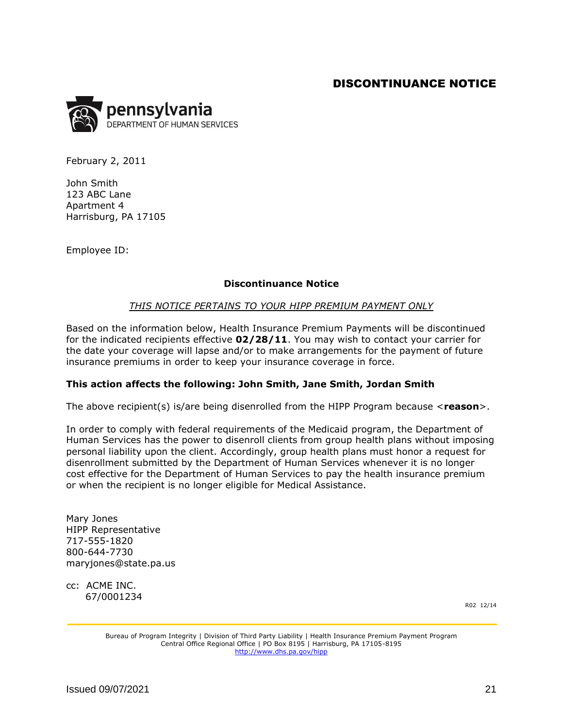#### DISCONTINUANCE NOTICE

<span id="page-21-0"></span>

February 2, 2011

John Smith 123 ABC Lane Apartment 4 Harrisburg, PA 17105

Employee ID:

#### **Discontinuance Notice**

#### *THIS NOTICE PERTAINS TO YOUR HIPP PREMIUM PAYMENT ONLY*

Based on the information below, Health Insurance Premium Payments will be discontinued for the indicated recipients effective **02/28/11**. You may wish to contact your carrier for the date your coverage will lapse and/or to make arrangements for the payment of future insurance premiums in order to keep your insurance coverage in force.

#### **This action affects the following: John Smith, Jane Smith, Jordan Smith**

The above recipient(s) is/are being disenrolled from the HIPP Program because <**reason**>.

In order to comply with federal requirements of the Medicaid program, the Department of Human Services has the power to disenroll clients from group health plans without imposing personal liability upon the client. Accordingly, group health plans must honor a request for disenrollment submitted by the Department of Human Services whenever it is no longer cost effective for the Department of Human Services to pay the health insurance premium or when the recipient is no longer eligible for Medical Assistance.

Mary Jones HIPP Representative 717-555-1820 800-644-7730 maryjones@state.pa.us

<span id="page-21-1"></span>cc: ACME INC. 67/0001234

R02 12/14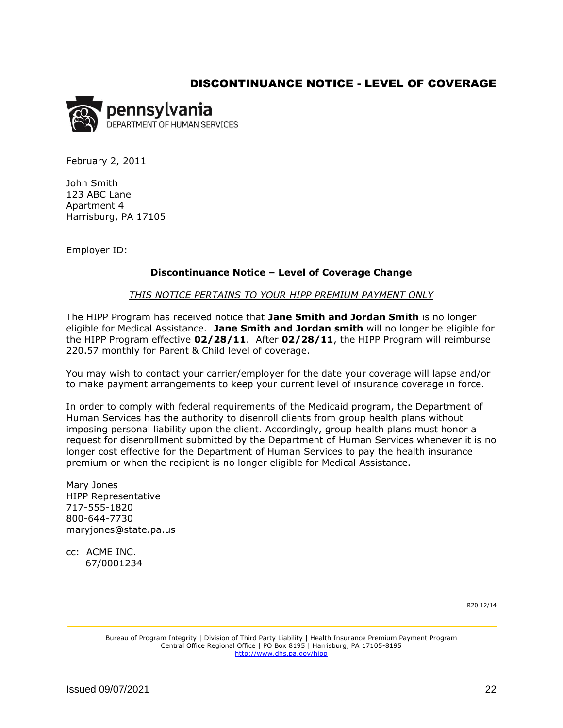#### DISCONTINUANCE NOTICE - LEVEL OF COVERAGE

<span id="page-22-0"></span>

February 2, 2011

John Smith 123 ABC Lane Apartment 4 Harrisburg, PA 17105

Employer ID:

#### **Discontinuance Notice – Level of Coverage Change**

#### *THIS NOTICE PERTAINS TO YOUR HIPP PREMIUM PAYMENT ONLY*

The HIPP Program has received notice that **Jane Smith and Jordan Smith** is no longer eligible for Medical Assistance. **Jane Smith and Jordan smith** will no longer be eligible for the HIPP Program effective **02/28/11**. After **02/28/11**, the HIPP Program will reimburse 220.57 monthly for Parent & Child level of coverage.

You may wish to contact your carrier/employer for the date your coverage will lapse and/or to make payment arrangements to keep your current level of insurance coverage in force.

In order to comply with federal requirements of the Medicaid program, the Department of Human Services has the authority to disenroll clients from group health plans without imposing personal liability upon the client. Accordingly, group health plans must honor a request for disenrollment submitted by the Department of Human Services whenever it is no longer cost effective for the Department of Human Services to pay the health insurance premium or when the recipient is no longer eligible for Medical Assistance.

Mary Jones HIPP Representative 717-555-1820 800-644-7730 maryjones@state.pa.us

<span id="page-22-1"></span>cc: ACME INC. 67/0001234

R20 12/14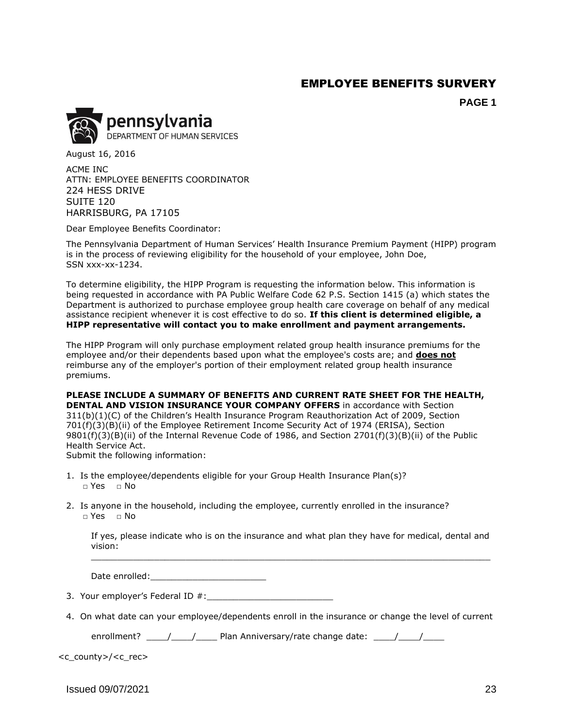## EMPLOYEE BENEFITS SURVERY

**PAGE 1**

<span id="page-23-0"></span>

August 16, 2016

ACME INC ATTN: EMPLOYEE BENEFITS COORDINATOR 224 HESS DRIVE SUITE 120 HARRISBURG, PA 17105

Dear Employee Benefits Coordinator:

The Pennsylvania Department of Human Services' Health Insurance Premium Payment (HIPP) program is in the process of reviewing eligibility for the household of your employee, John Doe, SSN xxx-xx-1234.

To determine eligibility, the HIPP Program is requesting the information below. This information is being requested in accordance with PA Public Welfare Code 62 P.S. Section 1415 (a) which states the Department is authorized to purchase employee group health care coverage on behalf of any medical assistance recipient whenever it is cost effective to do so. **If this client is determined eligible, a HIPP representative will contact you to make enrollment and payment arrangements.** 

The HIPP Program will only purchase employment related group health insurance premiums for the employee and/or their dependents based upon what the employee's costs are; and **does not** reimburse any of the employer's portion of their employment related group health insurance premiums.

**PLEASE INCLUDE A SUMMARY OF BENEFITS AND CURRENT RATE SHEET FOR THE HEALTH, DENTAL AND VISION INSURANCE YOUR COMPANY OFFERS** in accordance with Section 311(b)(1)(C) of the Children's Health Insurance Program Reauthorization Act of 2009, Section 701(f)(3)(B)(ii) of the Employee Retirement Income Security Act of 1974 (ERISA), Section 9801(f)(3)(B)(ii) of the Internal Revenue Code of 1986, and Section 2701(f)(3)(B)(ii) of the Public

Health Service Act.

Submit the following information:

- 1. Is the employee/dependents eligible for your Group Health Insurance Plan(s)? □ Yes □ No
- 2. Is anyone in the household, including the employee, currently enrolled in the insurance? □ Yes □ No

If yes, please indicate who is on the insurance and what plan they have for medical, dental and vision: \_\_\_\_\_\_\_\_\_\_\_\_\_\_\_\_\_\_\_\_\_\_\_\_\_\_\_\_\_\_\_\_\_\_\_\_\_\_\_\_\_\_\_\_\_\_\_\_\_\_\_\_\_\_\_\_\_\_\_\_\_\_\_\_\_\_\_\_\_\_\_\_\_\_\_\_

Date enrolled:

- 3. Your employer's Federal ID #:
- 4. On what date can your employee/dependents enroll in the insurance or change the level of current

enrollment?  $\frac{1}{\sqrt{2}}$  Plan Anniversary/rate change date:  $\frac{1}{\sqrt{2}}$ 

<c\_county>/<c\_rec>

 $\frac{1}{23}$  Issued 09/07/2021 23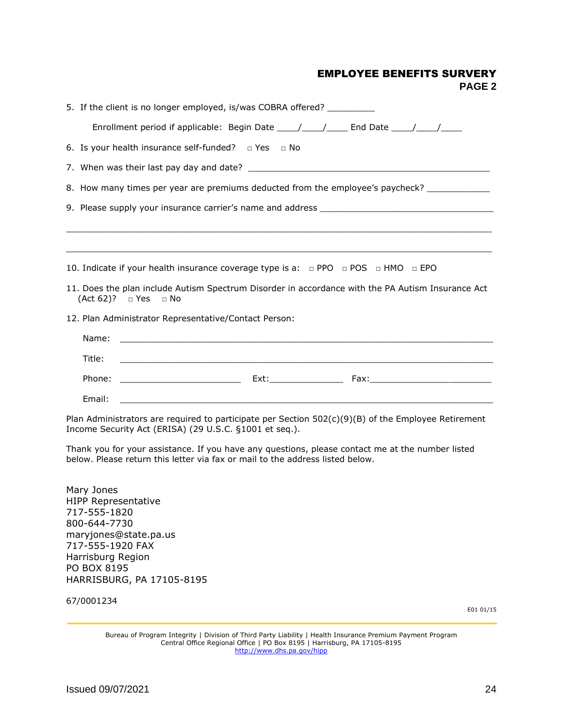#### EMPLOYEE BENEFITS SURVERY

**PAGE 2**

<span id="page-24-0"></span>

| 5. If the client is no longer employed, is/was COBRA offered?                                                                                                                          |  |  |  |  |  |  |
|----------------------------------------------------------------------------------------------------------------------------------------------------------------------------------------|--|--|--|--|--|--|
| Enrollment period if applicable: Begin Date _____/_____/______ End Date _____/_____/________________                                                                                   |  |  |  |  |  |  |
| 6. Is your health insurance self-funded? $\Box$ Yes $\Box$ No                                                                                                                          |  |  |  |  |  |  |
|                                                                                                                                                                                        |  |  |  |  |  |  |
| 8. How many times per year are premiums deducted from the employee's paycheck? _____________                                                                                           |  |  |  |  |  |  |
| 9. Please supply your insurance carrier's name and address _____________________                                                                                                       |  |  |  |  |  |  |
|                                                                                                                                                                                        |  |  |  |  |  |  |
| 10. Indicate if your health insurance coverage type is a: $\Box$ PPO $\Box$ POS $\Box$ HMO $\Box$ EPO                                                                                  |  |  |  |  |  |  |
| 11. Does the plan include Autism Spectrum Disorder in accordance with the PA Autism Insurance Act<br>$(Act 62)?$ TYes TNo                                                              |  |  |  |  |  |  |
| 12. Plan Administrator Representative/Contact Person:                                                                                                                                  |  |  |  |  |  |  |
| Name:                                                                                                                                                                                  |  |  |  |  |  |  |
| Title:                                                                                                                                                                                 |  |  |  |  |  |  |
|                                                                                                                                                                                        |  |  |  |  |  |  |
| Email:                                                                                                                                                                                 |  |  |  |  |  |  |
| Plan Administrators are required to participate per Section $502(c)(9)(B)$ of the Employee Retirement<br>Income Security Act (ERISA) (29 U.S.C. §1001 et seq.).                        |  |  |  |  |  |  |
| Thank you for your assistance. If you have any questions, please contact me at the number listed<br>below. Please return this letter via fax or mail to the address listed below.      |  |  |  |  |  |  |
| Mary Jones<br><b>HIPP Representative</b><br>717-555-1820<br>800-644-7730<br>maryjones@state.pa.us<br>717-555-1920 FAX<br>Harrisburg Region<br>PO BOX 8195<br>HARRISBURG, PA 17105-8195 |  |  |  |  |  |  |
| 67/0001234<br>E01 01/15                                                                                                                                                                |  |  |  |  |  |  |
|                                                                                                                                                                                        |  |  |  |  |  |  |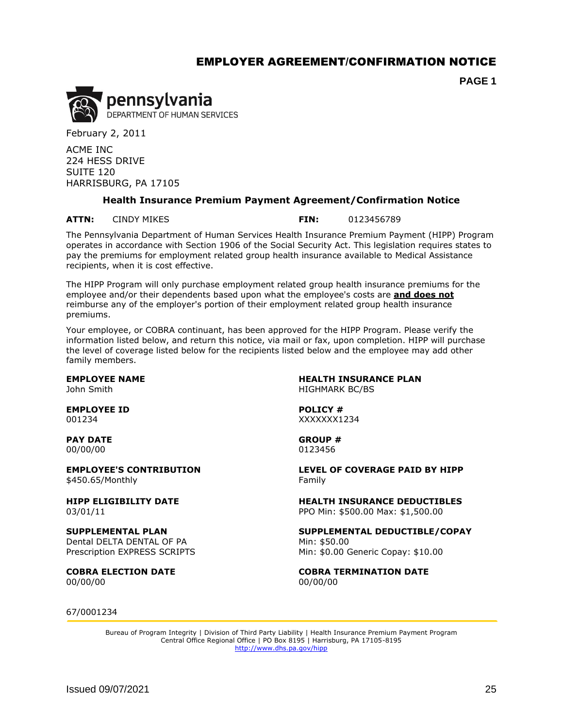#### EMPLOYER AGREEMENT/CONFIRMATION NOTICE

**PAGE 1**

<span id="page-25-0"></span>

February 2, 2011

ACME INC 224 HESS DRIVE SUITE 120 HARRISBURG, PA 17105

#### **Health Insurance Premium Payment Agreement/Confirmation Notice**

**ATTN:** CINDY MIKES **FIN:** 0123456789

The Pennsylvania Department of Human Services Health Insurance Premium Payment (HIPP) Program operates in accordance with Section 1906 of the Social Security Act. This legislation requires states to pay the premiums for employment related group health insurance available to Medical Assistance recipients, when it is cost effective.

The HIPP Program will only purchase employment related group health insurance premiums for the employee and/or their dependents based upon what the employee's costs are **and does not** reimburse any of the employer's portion of their employment related group health insurance premiums.

Your employee, or COBRA continuant, has been approved for the HIPP Program. Please verify the information listed below, and return this notice, via mail or fax, upon completion. HIPP will purchase the level of coverage listed below for the recipients listed below and the employee may add other family members.

**EMPLOYEE ID POLICY #** 001234 XXXXXXX1234

**PAY DATE GROUP #** 00/00/00 0123456

\$450.65/Monthly Family

Dental DELTA DENTAL OF PA Prescription EXPRESS SCRIPTS

00/00/00 00/00/00

**EMPLOYEE NAME HEALTH INSURANCE PLAN** John Smith **HIGHMARK BC/BS** 

**EMPLOYEE'S CONTRIBUTION LEVEL OF COVERAGE PAID BY HIPP**

**HIPP ELIGIBILITY DATE HEALTH INSURANCE DEDUCTIBLES** 03/01/11 PPO Min: \$500.00 Max: \$1,500.00

**SUPPLEMENTAL PLAN SUPPLEMENTAL DEDUCTIBLE/COPAY** Min: \$50.00 Min: \$0.00 Generic Copay: \$10.00

**COBRA ELECTION DATE COBRA TERMINATION DATE**

67/0001234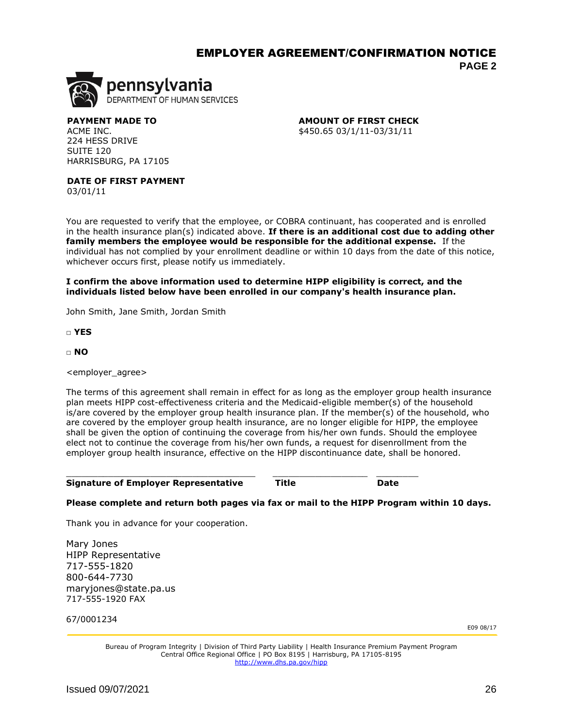#### EMPLOYER AGREEMENT/CONFIRMATION NOTICE **PAGE 2**



224 HESS DRIVE SUITE 120 HARRISBURG, PA 17105

**PAYMENT MADE TO AMOUNT OF FIRST CHECK** ACME INC. 2010 2010 2020 203/1/11-03/31/11 20:00:00 4450.65 03/1/11-03/31/11

**DATE OF FIRST PAYMENT**

03/01/11

You are requested to verify that the employee, or COBRA continuant, has cooperated and is enrolled in the health insurance plan(s) indicated above. **If there is an additional cost due to adding other family members the employee would be responsible for the additional expense.** If the individual has not complied by your enrollment deadline or within 10 days from the date of this notice, whichever occurs first, please notify us immediately.

**I confirm the above information used to determine HIPP eligibility is correct, and the individuals listed below have been enrolled in our company's health insurance plan.**

John Smith, Jane Smith, Jordan Smith

□ **YES**

□ **NO**

<employer\_agree>

The terms of this agreement shall remain in effect for as long as the employer group health insurance plan meets HIPP cost-effectiveness criteria and the Medicaid-eligible member(s) of the household is/are covered by the employer group health insurance plan. If the member(s) of the household, who are covered by the employer group health insurance, are no longer eligible for HIPP, the employee shall be given the option of continuing the coverage from his/her own funds. Should the employee elect not to continue the coverage from his/her own funds, a request for disenrollment from the employer group health insurance, effective on the HIPP discontinuance date, shall be honored.

|  | <b>Signature of Employer Representative</b> | Title | Date |
|--|---------------------------------------------|-------|------|
|  |                                             |       |      |

 $\_$  ,  $\_$  ,  $\_$  ,  $\_$  ,  $\_$  ,  $\_$  ,  $\_$  ,  $\_$  ,  $\_$  ,  $\_$  ,  $\_$  ,  $\_$  ,  $\_$  ,  $\_$  ,  $\_$  ,  $\_$  ,  $\_$  ,  $\_$  ,  $\_$  ,  $\_$ 

#### **Please complete and return both pages via fax or mail to the HIPP Program within 10 days.**

Thank you in advance for your cooperation.

Mary Jones HIPP Representative 717-555-1820 800-644-7730 maryjones@state.pa.us 717-555-1920 FAX

<span id="page-26-0"></span>67/0001234

E09 08/17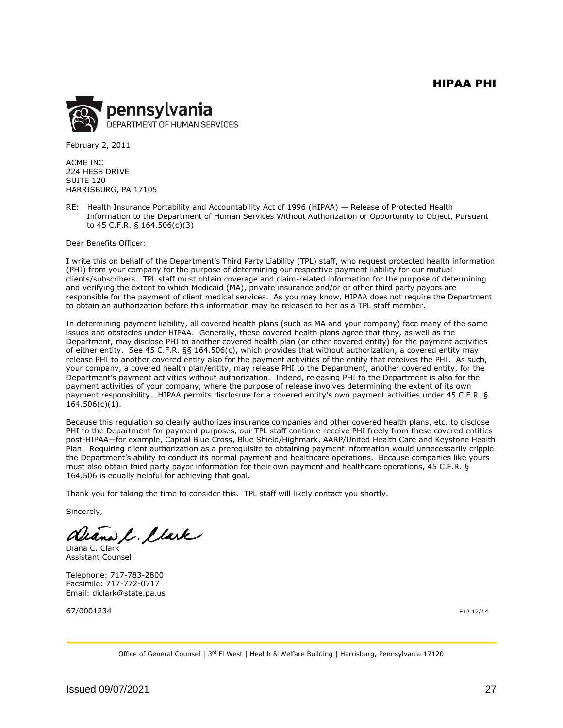<span id="page-27-0"></span>

February 2, 2011

ACME INC 224 HESS DRIVE SUITE 120 HARRISBURG, PA 17105

RE: Health Insurance Portability and Accountability Act of 1996 (HIPAA) — Release of Protected Health Information to the Department of Human Services Without Authorization or Opportunity to Object, Pursuant to 45 C.F.R. § 164.506(c)(3)

Dear Benefits Officer:

I write this on behalf of the Department's Third Party Liability (TPL) staff, who request protected health information (PHI) from your company for the purpose of determining our respective payment liability for our mutual clients/subscribers. TPL staff must obtain coverage and claim-related information for the purpose of determining and verifying the extent to which Medicaid (MA), private insurance and/or or other third party payors are responsible for the payment of client medical services. As you may know, HIPAA does not require the Department to obtain an authorization before this information may be released to her as a TPL staff member.

In determining payment liability, all covered health plans (such as MA and your company) face many of the same issues and obstacles under HIPAA. Generally, these covered health plans agree that they, as well as the Department, may disclose PHI to another covered health plan (or other covered entity) for the payment activities of either entity. See 45 C.F.R. §§ 164.506(c), which provides that without authorization, a covered entity may release PHI to another covered entity also for the payment activities of the entity that receives the PHI. As such, your company, a covered health plan/entity, may release PHI to the Department, another covered entity, for the Department's payment activities without authorization. Indeed, releasing PHI to the Department is also for the payment activities of your company, where the purpose of release involves determining the extent of its own payment responsibility. HIPAA permits disclosure for a covered entity's own payment activities under 45 C.F.R. §  $164.506(c)(1)$ .

Because this regulation so clearly authorizes insurance companies and other covered health plans, etc. to disclose PHI to the Department for payment purposes, our TPL staff continue receive PHI freely from these covered entities post-HIPAA—for example, Capital Blue Cross, Blue Shield/Highmark, AARP/United Health Care and Keystone Health Plan. Requiring client authorization as a prerequisite to obtaining payment information would unnecessarily cripple the Department's ability to conduct its normal payment and healthcare operations. Because companies like yours must also obtain third party payor information for their own payment and healthcare operations, 45 C.F.R. § 164.506 is equally helpful for achieving that goal.

Thank you for taking the time to consider this. TPL staff will likely contact you shortly.

Sincerely,

aliana C. Clark

Diana C. Clark Assistant Counsel

Telephone: 717-783-2800 Facsimile: 717-772-0717 Email: diclark@state.pa.us

67/0001234 E12 12/14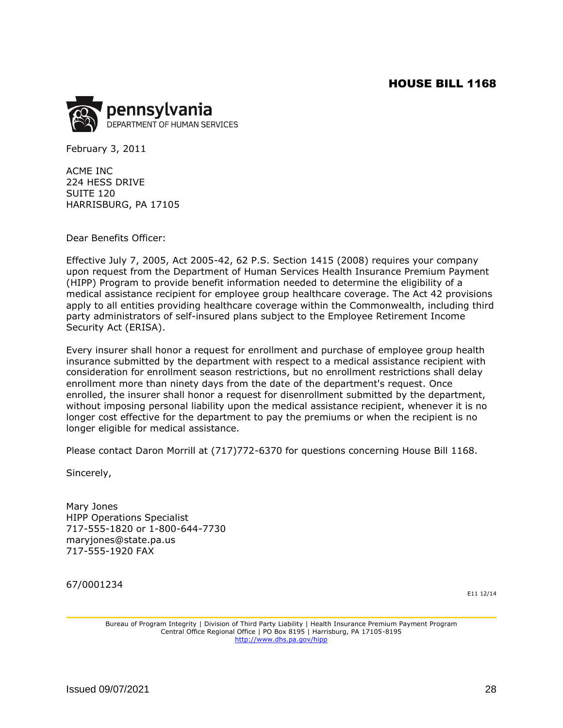<span id="page-28-0"></span>

February 3, 2011

ACME INC 224 HESS DRIVE SUITE 120 HARRISBURG, PA 17105

Dear Benefits Officer:

Effective July 7, 2005, Act 2005-42, 62 P.S. Section 1415 (2008) requires your company upon request from the Department of Human Services Health Insurance Premium Payment (HIPP) Program to provide benefit information needed to determine the eligibility of a medical assistance recipient for employee group healthcare coverage. The Act 42 provisions apply to all entities providing healthcare coverage within the Commonwealth, including third party administrators of self-insured plans subject to the Employee Retirement Income Security Act (ERISA).

Every insurer shall honor a request for enrollment and purchase of employee group health insurance submitted by the department with respect to a medical assistance recipient with consideration for enrollment season restrictions, but no enrollment restrictions shall delay enrollment more than ninety days from the date of the department's request. Once enrolled, the insurer shall honor a request for disenrollment submitted by the department, without imposing personal liability upon the medical assistance recipient, whenever it is no longer cost effective for the department to pay the premiums or when the recipient is no longer eligible for medical assistance.

Please contact Daron Morrill at (717)772-6370 for questions concerning House Bill 1168.

Sincerely,

Mary Jones HIPP Operations Specialist 717-555-1820 or 1-800-644-7730 maryjones@state.pa.us 717-555-1920 FAX

<span id="page-28-1"></span>67/0001234

E11 12/14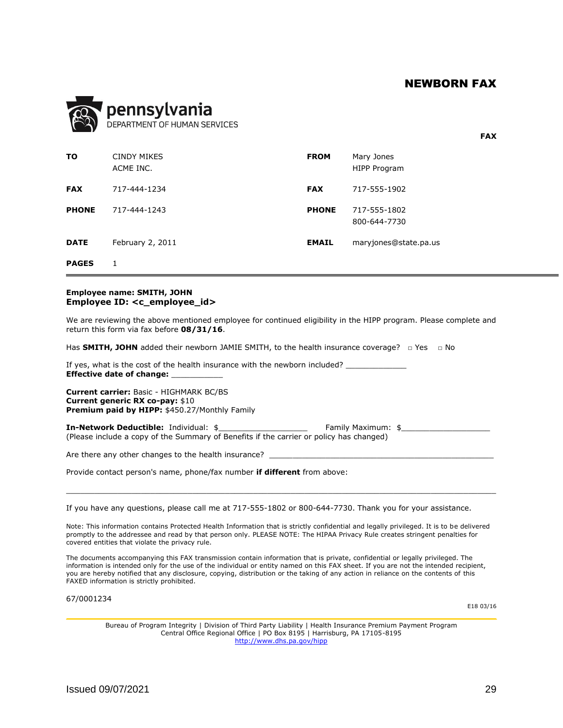**FAX**

<span id="page-29-0"></span>

|              | pennsylvania<br>DEPARTMENT OF HUMAN SERVICES |              |                                   |
|--------------|----------------------------------------------|--------------|-----------------------------------|
| то           | <b>CINDY MIKES</b><br>ACME INC.              | <b>FROM</b>  | Mary Jones<br><b>HIPP Program</b> |
| <b>FAX</b>   | 717-444-1234                                 | <b>FAX</b>   | 717-555-1902                      |
| <b>PHONE</b> | 717-444-1243                                 | <b>PHONE</b> | 717-555-1802<br>800-644-7730      |
| <b>DATE</b>  | February 2, 2011                             | <b>EMAIL</b> | maryjones@state.pa.us             |
| <b>PAGES</b> | 1                                            |              |                                   |

#### **Employee name: SMITH, JOHN Employee ID: <c\_employee\_id>**

We are reviewing the above mentioned employee for continued eligibility in the HIPP program. Please complete and return this form via fax before **08/31/16**.

Has **SMITH, JOHN** added their newborn JAMIE SMITH, to the health insurance coverage? □ Yes □ No

If yes, what is the cost of the health insurance with the newborn included? **Effective date of change:** \_\_\_\_\_\_\_\_\_\_\_

**Current carrier:** Basic - HIGHMARK BC/BS **Current generic RX co-pay:** \$10 **Premium paid by HIPP:** \$450.27/Monthly Family

**In-Network Deductible:** Individual: \$ **We Family Maximum: \$** (Please include a copy of the Summary of Benefits if the carrier or policy has changed)

Are there any other changes to the health insurance?

Provide contact person's name, phone/fax number **if different** from above:

If you have any questions, please call me at 717-555-1802 or 800-644-7730. Thank you for your assistance.

Note: This information contains Protected Health Information that is strictly confidential and legally privileged. It is to be delivered promptly to the addressee and read by that person only. PLEASE NOTE: The HIPAA Privacy Rule creates stringent penalties for covered entities that violate the privacy rule.

 $\mathcal{L}_\mathcal{L} = \{ \mathcal{L}_\mathcal{L} = \{ \mathcal{L}_\mathcal{L} = \{ \mathcal{L}_\mathcal{L} = \{ \mathcal{L}_\mathcal{L} = \{ \mathcal{L}_\mathcal{L} = \{ \mathcal{L}_\mathcal{L} = \{ \mathcal{L}_\mathcal{L} = \{ \mathcal{L}_\mathcal{L} = \{ \mathcal{L}_\mathcal{L} = \{ \mathcal{L}_\mathcal{L} = \{ \mathcal{L}_\mathcal{L} = \{ \mathcal{L}_\mathcal{L} = \{ \mathcal{L}_\mathcal{L} = \{ \mathcal{L}_\mathcal{$ 

The documents accompanying this FAX transmission contain information that is private, confidential or legally privileged. The information is intended only for the use of the individual or entity named on this FAX sheet. If you are not the intended recipient, you are hereby notified that any disclosure, copying, distribution or the taking of any action in reliance on the contents of this FAXED information is strictly prohibited.

<span id="page-29-1"></span>67/0001234

E18 03/16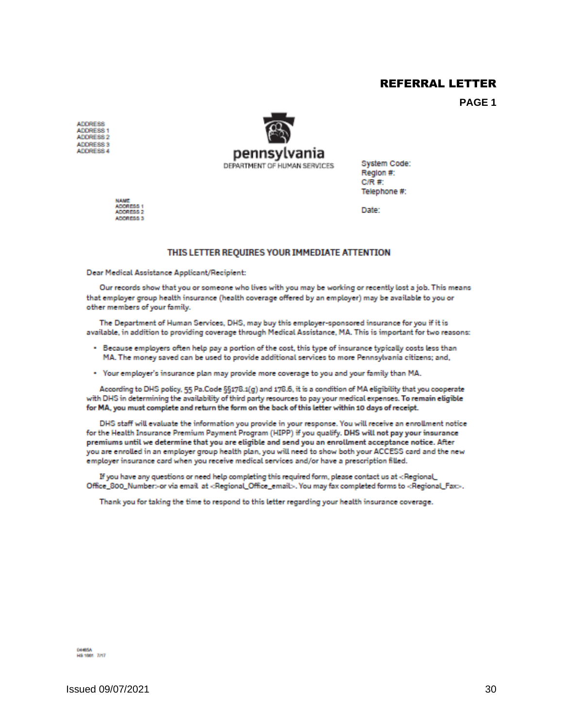#### REFERRAL LETTER

**PAGE 1**

<span id="page-30-0"></span>**ADDRESS** ADDRESS 1 ADDRESS 2 ADDRESS 3 ADDRESS 4



System Code: Region #:  $C/R \#$ Telephone #:

**NAME** ADDRESS 1 ADDRESS 3

Date:

#### THIS LETTER REQUIRES YOUR IMMEDIATE ATTENTION

Dear Medical Assistance Applicant/Recipient:

Our records show that you or someone who lives with you may be working or recently lost a job. This means that employer group health insurance (health coverage offered by an employer) may be available to you or other members of your family.

The Department of Human Services, DHS, may buy this employer-sponsored insurance for you if it is available, in addition to providing coverage through Medical Assistance, MA. This is important for two reasons:

- . Because employers often help pay a portion of the cost, this type of insurance typically costs less than MA. The money saved can be used to provide additional services to more Pennsylvania citizens; and,
- . Your employer's insurance plan may provide more coverage to you and your family than MA.

According to DHS policy, 55 Pa.Code §§178.1(g) and 178.6, it is a condition of MA eligibility that you cooperate with DHS in determining the availability of third party resources to pay your medical expenses. To remain eligible for MA, you must complete and return the form on the back of this letter within 10 days of receipt.

DHS staff will evaluate the information you provide in your response. You will receive an enrollment notice for the Health Insurance Premium Payment Program (HIPP) if you qualify. DHS will not pay your insurance premiums until we determine that you are eligible and send you an enrollment acceptance notice. After you are enrolled in an employer group health plan, you will need to show both your ACCESS card and the new employer insurance card when you receive medical services and/or have a prescription filled.

If you have any questions or need help completing this required form, please contact us at <Regional Office\_800\_Number> or via email at <Regional\_Office\_email>. You may fax completed forms to <Regional\_Fax>.

Thank you for taking the time to respond to this letter regarding your health insurance coverage.

04405A<br>HS 1001 7/17

 $\mu$  Issued 09/07/2021 30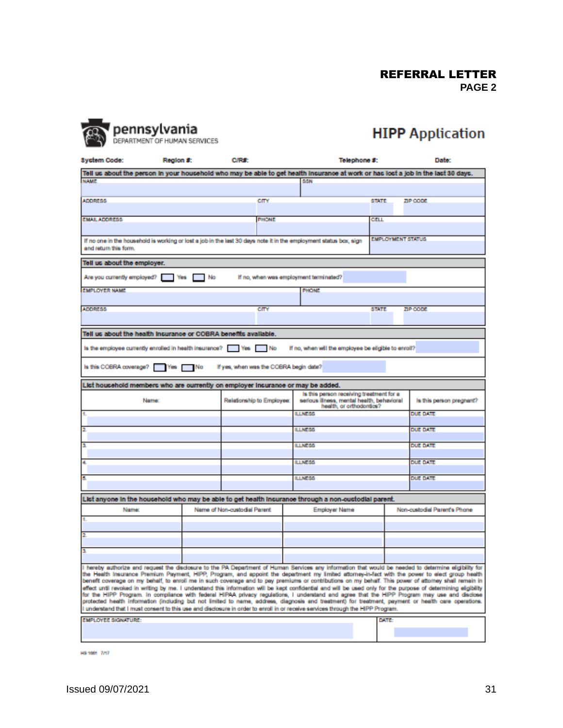REFERRAL LETTER **PAGE 2**



# **HIPP** Application

**Syctem Code:** Region #: C/R#: Telephone #: Date: Tell us about the person in your household who may be able to get health insurance at work or has lost a job in the last 30 days. **NAME** SSN **ADDRESS** cm **STATE** ZIP CODE **EMAIL ADDRESS PHONE** CELL **EMPLOYMENT STATUS** If no one in the household is working or lost a job in the last 30 days note it in the employment status box, sign and return this form. Tell us about the employer. Are you currently employed? Nes No If no, when was employment terminated? **EMPLOYER NAME** PHONE **ADDRESS** cm **STATE** ZIP CODE Tell us about the health insurance or COBRA benefits available. Is the employee currently enrolled in health insurance? [36] Yes [36] No If no, when will the employee be eligible to enroll? Is this COBRA coverage? Yes No If yes, when was the COBRA begin date? List household members who are ourrently on employer insurance or may be added. is this person receiving treatment for a serious illness, mental health, behavioral<br>health, or orthodoraics? Relationship to Employee: is this person pregnant? **Name** LINESS **DUE DATE** LLNE55 **DUE DATE** LUNESS **DUE DATE** LLNESS **DUE DATE** LLNESS **DUE DATE** List anyone in the household who may be able to get health insurance through a non-oustodial parent. Name: Name of Non-custodial Parent **Employer Name** Non-custodial Parent's Phone I hereby authorize and request the disclosure to the PA Department of Human Services any information that would be needed to determine eligibility for the Health Insurance Premium Payment, HIPP, Program, and appoint the department my limited attorney-in-fact with the power to elect group health<br>benefit coverage on my behalf, to enroll me in such coverage and to pay premi effect until revoked in writing by me. I understand this information will be kept confidential and will be used only for the purpose of determining eligibility<br>for the HIPP Program. In compliance with federal HIPAA privacy protected health information (including but not limited to name, address, diagnosis and treatment) for treatment, payment or health care operations. understand that I must consent to this use and disclosure in order to enroll in or receive services through the HIPP Program. **EMPLOYEE SIGNATURE** DATE

**HS 1001 7/17**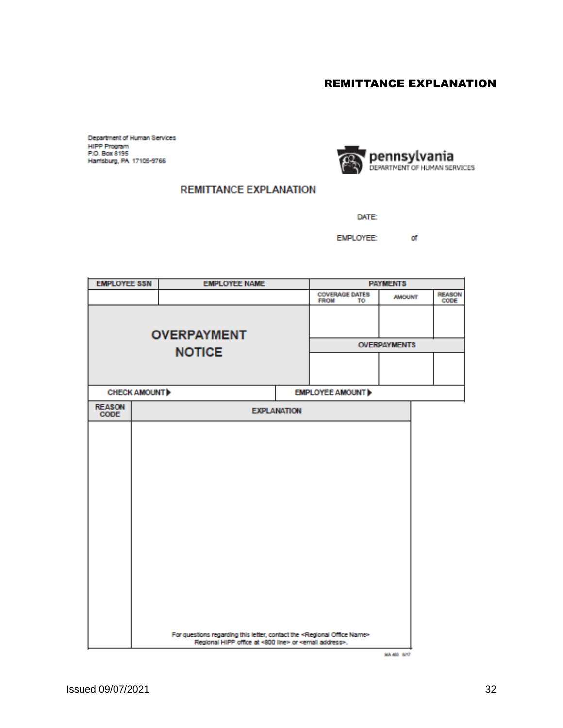## REMITTANCE EXPLANATION

<span id="page-32-0"></span>Department of Human Services<br>HIPP Program P.O. Box 8195 Harrisburg, PA 17105-9766



#### **REMITTANCE EXPLANATION**

DATE:

**EMPLOYEE:** of

| <b>EMPLOYEE SSN</b><br><b>EMPLOYEE NAME</b> |                     | <b>PAYMENTS</b>                                                                                                                                                      |                    |                                            |                     |                       |
|---------------------------------------------|---------------------|----------------------------------------------------------------------------------------------------------------------------------------------------------------------|--------------------|--------------------------------------------|---------------------|-----------------------|
|                                             |                     |                                                                                                                                                                      |                    | <b>COVERAGE DATES</b><br><b>FROM</b><br>TO | <b>AMOUNT</b>       | <b>REASON</b><br>CODE |
|                                             | <b>OVERPAYMENT</b>  |                                                                                                                                                                      |                    |                                            |                     |                       |
|                                             |                     | <b>NOTICE</b>                                                                                                                                                        |                    |                                            | <b>OVERPAYMENTS</b> |                       |
|                                             |                     |                                                                                                                                                                      |                    |                                            |                     |                       |
|                                             | <b>CHECK AMOUNT</b> |                                                                                                                                                                      |                    | <b>EMPLOYEE AMOUNT</b>                     |                     |                       |
| <b>REASON</b><br>CODE                       |                     |                                                                                                                                                                      | <b>EXPLANATION</b> |                                            |                     |                       |
|                                             |                     |                                                                                                                                                                      |                    |                                            |                     |                       |
|                                             |                     |                                                                                                                                                                      |                    |                                            |                     |                       |
|                                             |                     |                                                                                                                                                                      |                    |                                            |                     |                       |
|                                             |                     |                                                                                                                                                                      |                    |                                            |                     |                       |
|                                             |                     |                                                                                                                                                                      |                    |                                            |                     |                       |
|                                             |                     |                                                                                                                                                                      |                    |                                            |                     |                       |
|                                             |                     |                                                                                                                                                                      |                    |                                            |                     |                       |
|                                             |                     |                                                                                                                                                                      |                    |                                            |                     |                       |
|                                             |                     |                                                                                                                                                                      |                    |                                            |                     |                       |
|                                             |                     |                                                                                                                                                                      |                    |                                            |                     |                       |
|                                             |                     |                                                                                                                                                                      |                    |                                            |                     |                       |
|                                             |                     |                                                                                                                                                                      |                    |                                            |                     |                       |
|                                             |                     | For questions regarding this letter, contact the <regional name="" office=""><br/>Regional HIPP office at &lt;800 line&gt; or <email address="">.</email></regional> |                    |                                            |                     |                       |